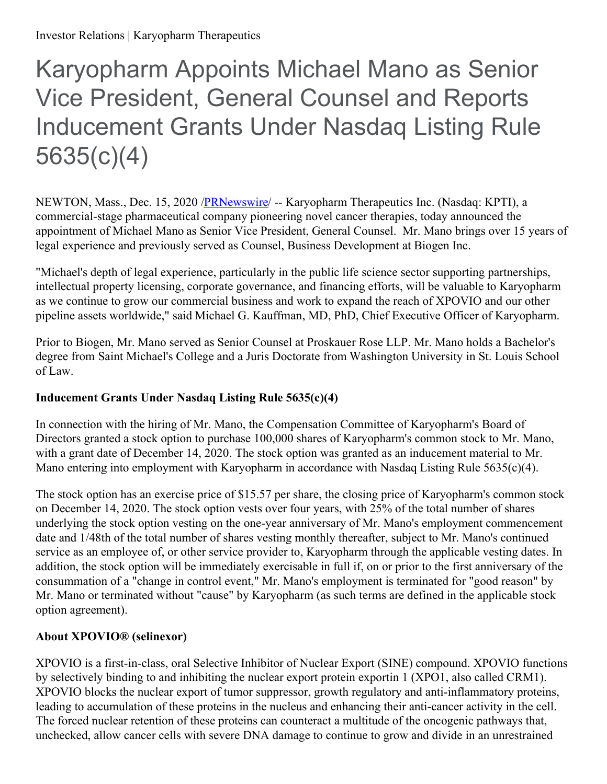# Karyopharm Appoints Michael Mano as Senior Vice President, General Counsel and Reports Inducement Grants Under Nasdaq Listing Rule 5635(c)(4)

NEWTON, Mass., Dec. 15, 2020 [/PRNewswire](http://www.prnewswire.com/)/ -- Karyopharm Therapeutics Inc. (Nasdaq: KPTI), a commercial-stage pharmaceutical company pioneering novel cancer therapies, today announced the appointment of Michael Mano as Senior Vice President, General Counsel. Mr. Mano brings over 15 years of legal experience and previously served as Counsel, Business Development at Biogen Inc.

"Michael's depth of legal experience, particularly in the public life science sector supporting partnerships, intellectual property licensing, corporate governance, and financing efforts, will be valuable to Karyopharm as we continue to grow our commercial business and work to expand the reach of XPOVIO and our other pipeline assets worldwide," said Michael G. Kauffman, MD, PhD, Chief Executive Officer of Karyopharm.

Prior to Biogen, Mr. Mano served as Senior Counsel at Proskauer Rose LLP. Mr. Mano holds a Bachelor's degree from Saint Michael's College and a Juris Doctorate from Washington University in St. Louis School of Law.

## **Inducement Grants Under Nasdaq Listing Rule 5635(c)(4)**

In connection with the hiring of Mr. Mano, the Compensation Committee of Karyopharm's Board of Directors granted a stock option to purchase 100,000 shares of Karyopharm's common stock to Mr. Mano, with a grant date of December 14, 2020. The stock option was granted as an inducement material to Mr. Mano entering into employment with Karyopharm in accordance with Nasdaq Listing Rule 5635(c)(4).

The stock option has an exercise price of \$15.57 per share, the closing price of Karyopharm's common stock on December 14, 2020. The stock option vests over four years, with 25% of the total number of shares underlying the stock option vesting on the one-year anniversary of Mr. Mano's employment commencement date and 1/48th of the total number of shares vesting monthly thereafter, subject to Mr. Mano's continued service as an employee of, or other service provider to, Karyopharm through the applicable vesting dates. In addition, the stock option will be immediately exercisable in full if, on or prior to the first anniversary of the consummation of a "change in control event," Mr. Mano's employment is terminated for "good reason" by Mr. Mano or terminated without "cause" by Karyopharm (as such terms are defined in the applicable stock option agreement).

## **About XPOVIO® (selinexor)**

XPOVIO is a first-in-class, oral Selective Inhibitor of Nuclear Export (SINE) compound. XPOVIO functions by selectively binding to and inhibiting the nuclear export protein exportin 1 (XPO1, also called CRM1). XPOVIO blocks the nuclear export of tumor suppressor, growth regulatory and anti-inflammatory proteins, leading to accumulation of these proteins in the nucleus and enhancing their anti-cancer activity in the cell. The forced nuclear retention of these proteins can counteract a multitude of the oncogenic pathways that, unchecked, allow cancer cells with severe DNA damage to continue to grow and divide in an unrestrained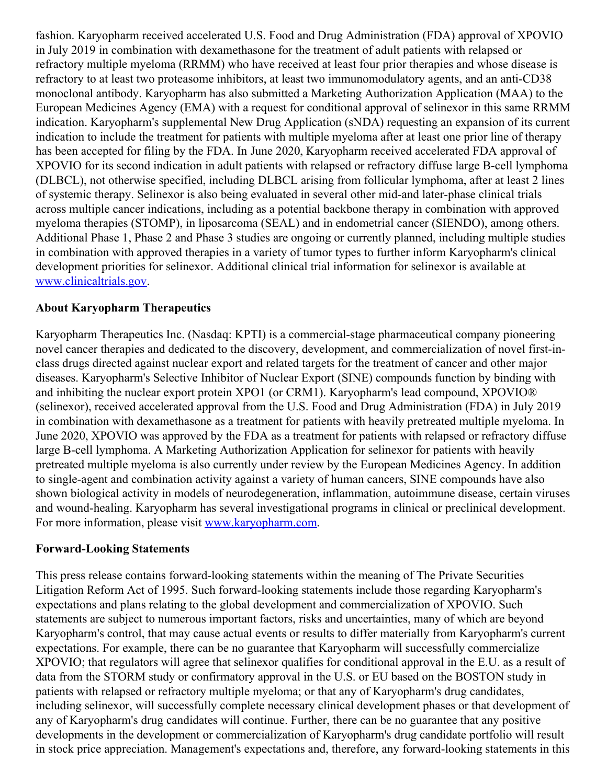fashion. Karyopharm received accelerated U.S. Food and Drug Administration (FDA) approval of XPOVIO in July 2019 in combination with dexamethasone for the treatment of adult patients with relapsed or refractory multiple myeloma (RRMM) who have received at least four prior therapies and whose disease is refractory to at least two proteasome inhibitors, at least two immunomodulatory agents, and an anti-CD38 monoclonal antibody. Karyopharm has also submitted a Marketing Authorization Application (MAA) to the European Medicines Agency (EMA) with a request for conditional approval of selinexor in this same RRMM indication. Karyopharm's supplemental New Drug Application (sNDA) requesting an expansion of its current indication to include the treatment for patients with multiple myeloma after at least one prior line of therapy has been accepted for filing by the FDA. In June 2020, Karyopharm received accelerated FDA approval of XPOVIO for its second indication in adult patients with relapsed or refractory diffuse large B-cell lymphoma (DLBCL), not otherwise specified, including DLBCL arising from follicular lymphoma, after at least 2 lines of systemic therapy. Selinexor is also being evaluated in several other mid-and later-phase clinical trials across multiple cancer indications, including as a potential backbone therapy in combination with approved myeloma therapies (STOMP), in liposarcoma (SEAL) and in endometrial cancer (SIENDO), among others. Additional Phase 1, Phase 2 and Phase 3 studies are ongoing or currently planned, including multiple studies in combination with approved therapies in a variety of tumor types to further inform Karyopharm's clinical development priorities for selinexor. Additional clinical trial information for selinexor is available at [www.clinicaltrials.gov](https://c212.net/c/link/?t=0&l=en&o=3012732-1&h=114524259&u=http%3A%2F%2Fwww.clinicaltrials.gov%2F&a=www.clinicaltrials.gov).

### **About Karyopharm Therapeutics**

Karyopharm Therapeutics Inc. (Nasdaq: KPTI) is a commercial-stage pharmaceutical company pioneering novel cancer therapies and dedicated to the discovery, development, and commercialization of novel first-inclass drugs directed against nuclear export and related targets for the treatment of cancer and other major diseases. Karyopharm's Selective Inhibitor of Nuclear Export (SINE) compounds function by binding with and inhibiting the nuclear export protein XPO1 (or CRM1). Karyopharm's lead compound, XPOVIO® (selinexor), received accelerated approval from the U.S. Food and Drug Administration (FDA) in July 2019 in combination with dexamethasone as a treatment for patients with heavily pretreated multiple myeloma. In June 2020, XPOVIO was approved by the FDA as a treatment for patients with relapsed or refractory diffuse large B-cell lymphoma. A Marketing Authorization Application for selinexor for patients with heavily pretreated multiple myeloma is also currently under review by the European Medicines Agency. In addition to single-agent and combination activity against a variety of human cancers, SINE compounds have also shown biological activity in models of neurodegeneration, inflammation, autoimmune disease, certain viruses and wound-healing. Karyopharm has several investigational programs in clinical or preclinical development. For more information, please visit [www.karyopharm.com](https://c212.net/c/link/?t=0&l=en&o=3012732-1&h=570740817&u=http%3A%2F%2Fwww.karyopharm.com%2F&a=www.karyopharm.com).

#### **Forward-Looking Statements**

This press release contains forward-looking statements within the meaning of The Private Securities Litigation Reform Act of 1995. Such forward-looking statements include those regarding Karyopharm's expectations and plans relating to the global development and commercialization of XPOVIO. Such statements are subject to numerous important factors, risks and uncertainties, many of which are beyond Karyopharm's control, that may cause actual events or results to differ materially from Karyopharm's current expectations. For example, there can be no guarantee that Karyopharm will successfully commercialize XPOVIO; that regulators will agree that selinexor qualifies for conditional approval in the E.U. as a result of data from the STORM study or confirmatory approval in the U.S. or EU based on the BOSTON study in patients with relapsed or refractory multiple myeloma; or that any of Karyopharm's drug candidates, including selinexor, will successfully complete necessary clinical development phases or that development of any of Karyopharm's drug candidates will continue. Further, there can be no guarantee that any positive developments in the development or commercialization of Karyopharm's drug candidate portfolio will result in stock price appreciation. Management's expectations and, therefore, any forward-looking statements in this